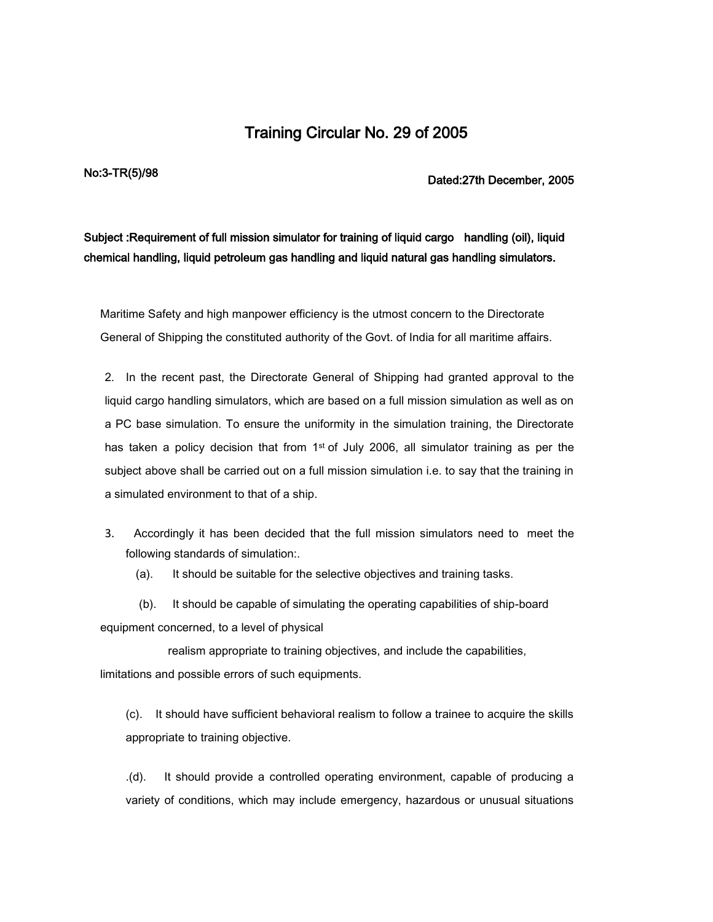## Training Circular No. 29 of 2005

No:3-TR(5)/98 **Dated:27th December, 2005** 

## Subject :Requirement of full mission simulator for training of liquid cargo handling (oil), liquid chemical handling, liquid petroleum gas handling and liquid natural gas handling simulators.

Maritime Safety and high manpower efficiency is the utmost concern to the Directorate General of Shipping the constituted authority of the Govt. of India for all maritime affairs.

2. In the recent past, the Directorate General of Shipping had granted approval to the liquid cargo handling simulators, which are based on a full mission simulation as well as on a PC base simulation. To ensure the uniformity in the simulation training, the Directorate has taken a policy decision that from  $1<sup>st</sup>$  of July 2006, all simulator training as per the subject above shall be carried out on a full mission simulation i.e. to say that the training in a simulated environment to that of a ship.

- 3. Accordingly it has been decided that the full mission simulators need to meet the following standards of simulation:.
	- (a). It should be suitable for the selective objectives and training tasks.

 (b). It should be capable of simulating the operating capabilities of ship-board equipment concerned, to a level of physical

 realism appropriate to training objectives, and include the capabilities, limitations and possible errors of such equipments.

(c). It should have sufficient behavioral realism to follow a trainee to acquire the skills appropriate to training objective.

.(d). It should provide a controlled operating environment, capable of producing a variety of conditions, which may include emergency, hazardous or unusual situations